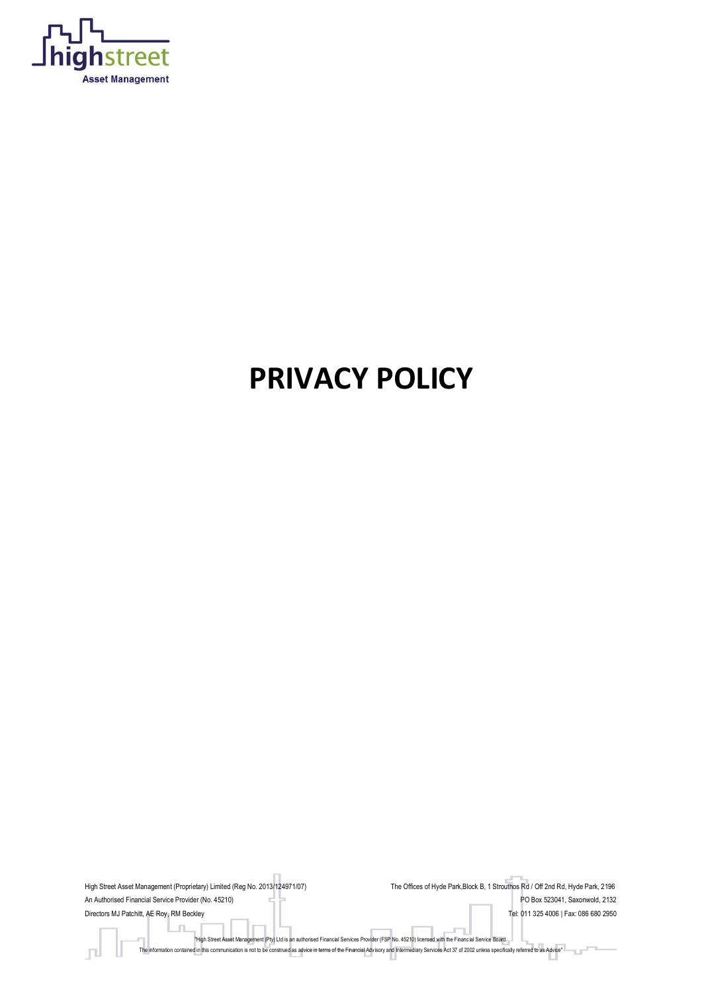

# **PRIVACY POLICY**

High Street Asset Management (Proprietary) Limited (Reg No. 2013/124971/07) The Offices of Hyde Park,Block B, 1 Strouthos Rd / Off 2nd Rd, Hyde Park, 2196 An Authorised Financial Service Provider (No. 45210) **PO Box 523041**, Saxonwold, 2132 Directors MJ Patchitt, AE Roy, RM Beckley **Tel: 011 325 4006 | Fax: 086 680 2950** "High Street Asset Management (Pty) Ltd is an authorised Financial Services Provider (FSP No. 45210) licensed with the Financ ial Service Board. The information contained in this communication is not to be construed as advice in terms of the Financial Advisory and Intermediary Services Act 37 of 2002 unless specifically referred to as Advice"  $\Box$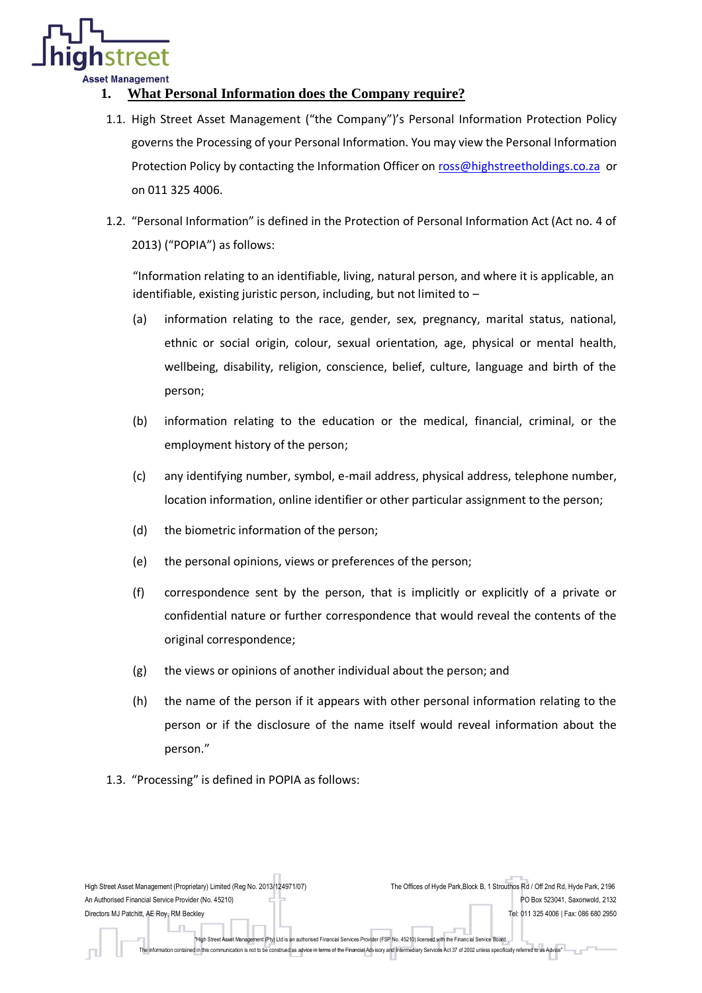

## **1. What Personal Information does the Company require?**

- 1.1. High Street Asset Management ("the Company")'s Personal Information Protection Policy governs the Processing of your Personal Information. You may view the Personal Information Protection Policy by contacting the Information Officer on [ross@highstreetholdings.co.za](mailto:ross@highstreetholdings.co.za) or on 011 325 4006.
- 1.2. "Personal Information" is defined in the Protection of Personal Information Act (Act no. 4 of 2013) ("POPIA") as follows:

"Information relating to an identifiable, living, natural person, and where it is applicable, an identifiable, existing juristic person, including, but not limited to –

- (a) information relating to the race, gender, sex, pregnancy, marital status, national, ethnic or social origin, colour, sexual orientation, age, physical or mental health, wellbeing, disability, religion, conscience, belief, culture, language and birth of the person;
- (b) information relating to the education or the medical, financial, criminal, or the employment history of the person;
- (c) any identifying number, symbol, e-mail address, physical address, telephone number, location information, online identifier or other particular assignment to the person;
- (d) the biometric information of the person;
- (e) the personal opinions, views or preferences of the person;
- (f) correspondence sent by the person, that is implicitly or explicitly of a private or confidential nature or further correspondence that would reveal the contents of the original correspondence;
- (g) the views or opinions of another individual about the person; and
- (h) the name of the person if it appears with other personal information relating to the person or if the disclosure of the name itself would reveal information about the person."
- 1.3. "Processing" is defined in POPIA as follows:

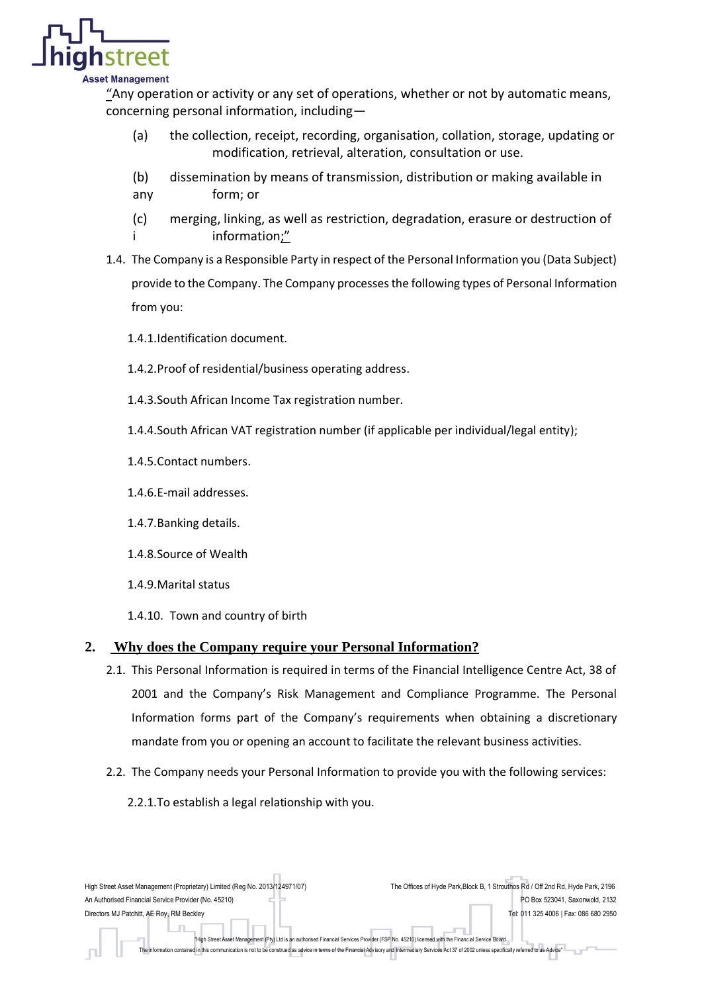

#### sset Management

"Any operation or activity or any set of operations, whether or not by automatic means, concerning personal information, including—

- (a) the collection, receipt, recording, organisation, collation, storage, updating or modification, retrieval, alteration, consultation or use.
- (b) dissemination by means of transmission, distribution or making available in
- any form; or
- (c) merging, linking, as well as restriction, degradation, erasure or destruction of information;"
- 1.4. The Company is a Responsible Party in respect of the Personal Information you (Data Subject) provide to the Company. The Company processesthe following types of Personal Information from you:
	- 1.4.1.Identification document.
	- 1.4.2.Proof of residential/business operating address.
	- 1.4.3.South African Income Tax registration number.
	- 1.4.4.South African VAT registration number (if applicable per individual/legal entity);
	- 1.4.5.Contact numbers.
	- 1.4.6.E-mail addresses.
	- 1.4.7.Banking details.
	- 1.4.8.Source of Wealth
	- 1.4.9.Marital status
	- 1.4.10. Town and country of birth

### **2. Why does the Company require your Personal Information?**

- 2.1. This Personal Information is required in terms of the Financial Intelligence Centre Act, 38 of 2001 and the Company's Risk Management and Compliance Programme. The Personal Information forms part of the Company's requirements when obtaining a discretionary mandate from you or opening an account to facilitate the relevant business activities.
- 2.2. The Company needs your Personal Information to provide you with the following services:
	- 2.2.1.To establish a legal relationship with you.

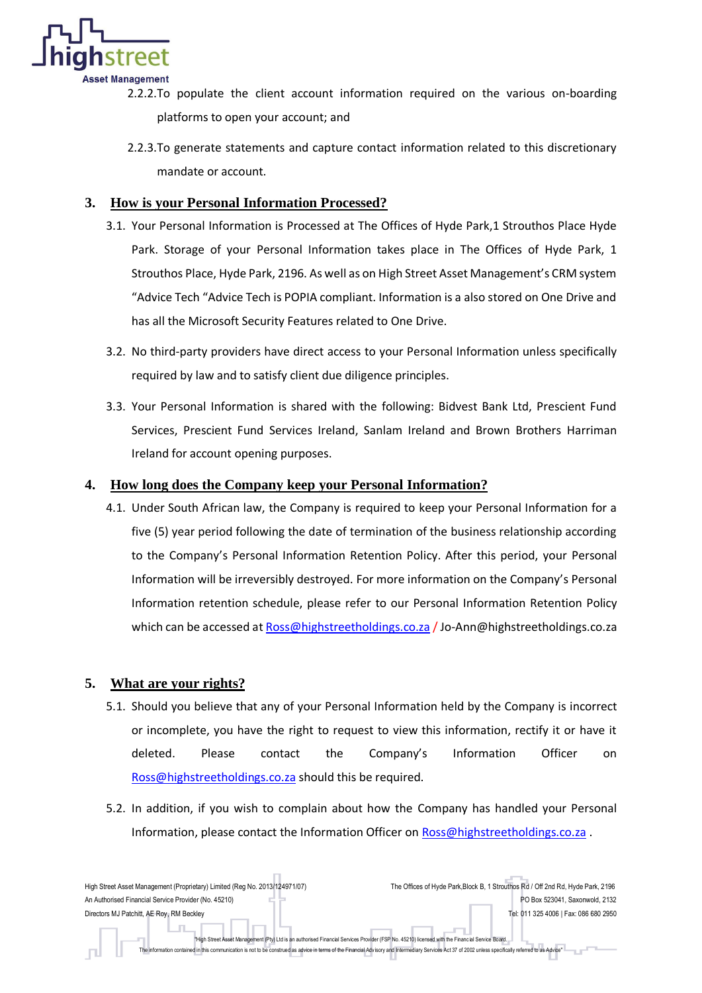

- 2.2.2.To populate the client account information required on the various on-boarding platforms to open your account; and
	- 2.2.3.To generate statements and capture contact information related to this discretionary mandate or account.

## **3. How is your Personal Information Processed?**

- 3.1. Your Personal Information is Processed at The Offices of Hyde Park,1 Strouthos Place Hyde Park. Storage of your Personal Information takes place in The Offices of Hyde Park, 1 Strouthos Place, Hyde Park, 2196. As well as on High Street Asset Management's CRM system "Advice Tech "Advice Tech is POPIA compliant. Information is a also stored on One Drive and has all the Microsoft Security Features related to One Drive.
- 3.2. No third-party providers have direct access to your Personal Information unless specifically required by law and to satisfy client due diligence principles.
- 3.3. Your Personal Information is shared with the following: Bidvest Bank Ltd, Prescient Fund Services, Prescient Fund Services Ireland, Sanlam Ireland and Brown Brothers Harriman Ireland for account opening purposes.

## **4. How long does the Company keep your Personal Information?**

4.1. Under South African law, the Company is required to keep your Personal Information for a five (5) year period following the date of termination of the business relationship according to the Company's Personal Information Retention Policy. After this period, your Personal Information will be irreversibly destroyed. For more information on the Company's Personal Information retention schedule, please refer to our Personal Information Retention Policy which can be accessed a[t Ross@highstreetholdings.co.za](mailto:Ross@highstreetholdings.co.za) / Jo-Ann@highstreetholdings.co.za

## **5. What are your rights?**

- 5.1. Should you believe that any of your Personal Information held by the Company is incorrect or incomplete, you have the right to request to view this information, rectify it or have it deleted. Please contact the Company's Information Officer on [Ross@highstreetholdings.co.za](mailto:Ross@highstreetholdings.co.za) should this be required.
- 5.2. In addition, if you wish to complain about how the Company has handled your Personal Information, please contact the Information Officer on [Ross@highstreetholdings.co.za](mailto:Ross@highstreetholdings.co.za).